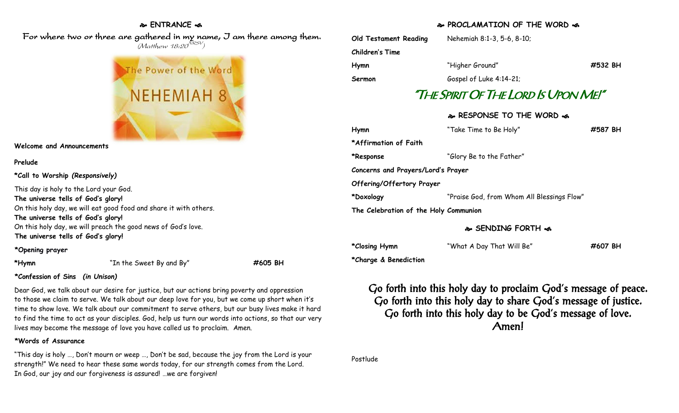### **ENTRANCE**

 For where two or three are gathered in my name, I am there among them.  $(M$ atthew 18:20 $^{NRSV})$ 



**Welcome and Announcements**

#### **Prelude**

**\*Call to Worship** *(Responsively)*

This day is holy to the Lord your God. **The universe tells of God's glory!** On this holy day, we will eat good food and share it with others. **The universe tells of God's glory!** On this holy day, we will preach the good news of God's love. **The universe tells of God's glory!**

#### **\*Opening prayer**

**\*Hymn** "In the Sweet By and By" **#605 BH**

## **\*Confession of Sins** *(in Unison)*

Dear God, we talk about our desire for justice, but our actions bring poverty and oppression to those we claim to serve. We talk about our deep love for you, but we come up short when it's time to show love. We talk about our commitment to serve others, but our busy lives make it hard to find the time to act as your disciples. God, help us turn our words into actions, so that our very lives may become the message of love you have called us to proclaim. Amen.

## **\*Words of Assurance**

"This day is holy …, Don't mourn or weep …, Don't be sad, because the joy from the Lord is your strength!" We need to hear these same words today, for our strength comes from the Lord. In God, our joy and our forgiveness is assured! …we are forgiven!

# **PROCLAMATION OF THE WORD**

| Old Testament Reading                 | Nehemiah 8:1-3, 5-6, 8-10;                 |         |
|---------------------------------------|--------------------------------------------|---------|
| Children's Time                       |                                            |         |
| Hymn                                  | "Higher Ground"                            | #532 BH |
| Sermon                                | Gospel of Luke 4:14-21;                    |         |
| "The Spirit Of The Lord Is Upon Me!"  |                                            |         |
|                                       | � RESPONSE TO THE WORD �                   |         |
| Hymn                                  | "Take Time to Be Holy"                     | #587 BH |
| *Affirmation of Faith                 |                                            |         |
| *Response                             | "Glory Be to the Father"                   |         |
| Concerns and Prayers/Lord's Prayer    |                                            |         |
| Offering/Offertory Prayer             |                                            |         |
| *Doxology                             | "Praise God, from Whom All Blessings Flow" |         |
| The Celebration of the Holy Communion |                                            |         |
|                                       | <b>&amp; SENDING FORTH &amp;</b>           |         |

**\*Closing Hymn** "What A Day That Will Be" **#607 BH**

**\*Charge & Benediction**

Go forth into this holy day to proclaim God's message of peace. Go forth into this holy day to share God's message of justice. Go forth into this holy day to be God's message of love. Amen!

Postlude